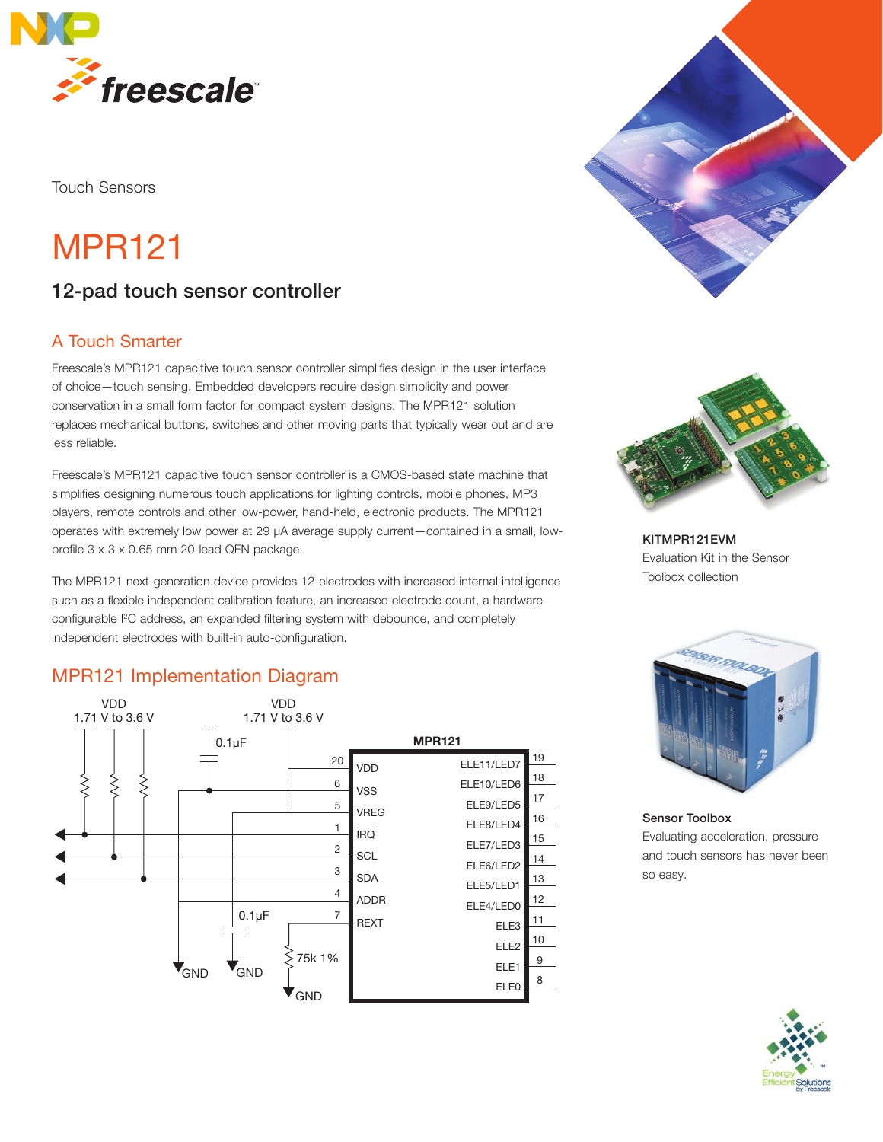

Touch Sensors

# MPR121

# 12-pad touch sensor controller

#### A Touch Smarter

Freescale's MPR121 capacitive touch sensor controller simplifies design in the user interface of choice—touch sensing. Embedded developers require design simplicity and power conservation in a small form factor for compact system designs. The MPR121 solution replaces mechanical buttons, switches and other moving parts that typically wear out and are less reliable.

Freescale's MPR121 capacitive touch sensor controller is a CMOS-based state machine that simplifies designing numerous touch applications for lighting controls, mobile phones, MP3 players, remote controls and other low-power, hand-held, electronic products. The MPR121 operates with extremely low power at 29 μA average supply current—contained in a small, lowprofile 3 x 3 x 0.65 mm 20-lead QFN package.

The MPR121 next-generation device provides 12-electrodes with increased internal intelligence such as a flexible independent calibration feature, an increased electrode count, a hardware configurable I<sup>2</sup>C address, an expanded filtering system with debounce, and completely independent electrodes with built-in auto-configuration.

### MPR121 Implementation Diagram MPR121 Implementation Diagram







KITMPR121EVM Evaluation Kit in the Sensor Toolbox collection



Sensor Toolbox Evaluating acceleration, pressure and touch sensors has never been so easy.